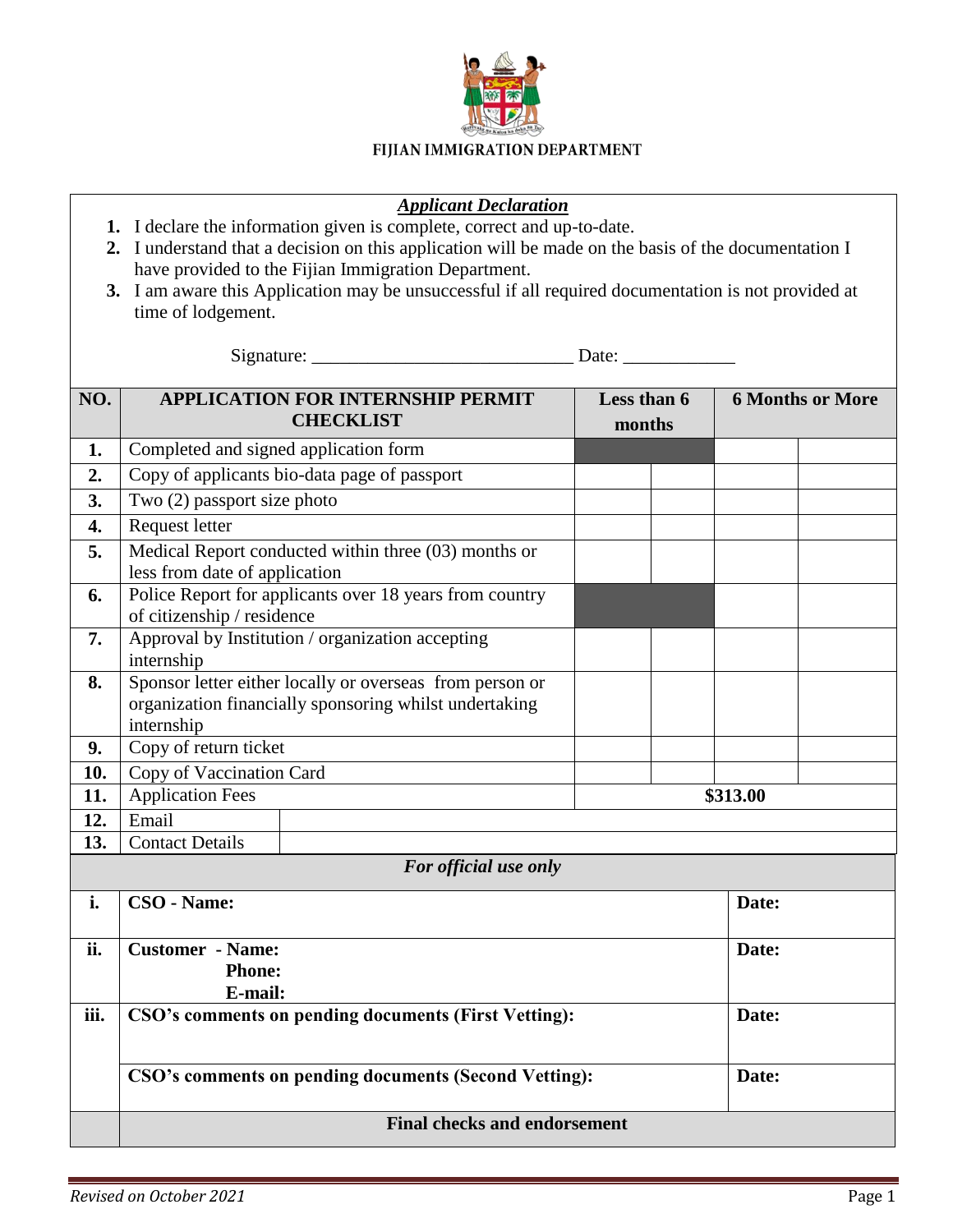

## FIJIAN IMMIGRATION DEPARTMENT

## *Applicant Declaration*

- **1.** I declare the information given is complete, correct and up-to-date.
- **2.** I understand that a decision on this application will be made on the basis of the documentation I have provided to the Fijian Immigration Department.
- **3.** I am aware this Application may be unsuccessful if all required documentation is not provided at time of lodgement.

Signature: \_\_\_\_\_\_\_\_\_\_\_\_\_\_\_\_\_\_\_\_\_\_\_\_\_\_\_\_ Date: \_\_\_\_\_\_\_\_\_\_\_\_

| NO.                   | <b>APPLICATION FOR INTERNSHIP PERMIT</b><br><b>CHECKLIST</b>                                                                     |  | Less than 6<br>months |       | <b>6 Months or More</b> |  |
|-----------------------|----------------------------------------------------------------------------------------------------------------------------------|--|-----------------------|-------|-------------------------|--|
| 1.                    | Completed and signed application form                                                                                            |  |                       |       |                         |  |
| 2.                    | Copy of applicants bio-data page of passport                                                                                     |  |                       |       |                         |  |
| 3.                    | Two (2) passport size photo                                                                                                      |  |                       |       |                         |  |
| $\overline{4}$ .      | Request letter                                                                                                                   |  |                       |       |                         |  |
| 5.                    | Medical Report conducted within three (03) months or<br>less from date of application                                            |  |                       |       |                         |  |
| 6.                    | Police Report for applicants over 18 years from country<br>of citizenship / residence                                            |  |                       |       |                         |  |
| 7.                    | Approval by Institution / organization accepting<br>internship                                                                   |  |                       |       |                         |  |
| 8.                    | Sponsor letter either locally or overseas from person or<br>organization financially sponsoring whilst undertaking<br>internship |  |                       |       |                         |  |
| 9.                    | Copy of return ticket                                                                                                            |  |                       |       |                         |  |
| 10.                   | Copy of Vaccination Card                                                                                                         |  |                       |       |                         |  |
| 11.                   | <b>Application Fees</b><br>\$313.00                                                                                              |  |                       |       |                         |  |
| 12.                   | Email                                                                                                                            |  |                       |       |                         |  |
| 13.                   | <b>Contact Details</b>                                                                                                           |  |                       |       |                         |  |
| For official use only |                                                                                                                                  |  |                       |       |                         |  |
| i.                    | CSO - Name:                                                                                                                      |  |                       | Date: |                         |  |
| ii.                   | <b>Customer - Name:</b><br><b>Phone:</b><br>E-mail:                                                                              |  |                       | Date: |                         |  |
| iii.                  | CSO's comments on pending documents (First Vetting):                                                                             |  |                       | Date: |                         |  |
|                       | CSO's comments on pending documents (Second Vetting):                                                                            |  |                       |       | Date:                   |  |
|                       | <b>Final checks and endorsement</b>                                                                                              |  |                       |       |                         |  |